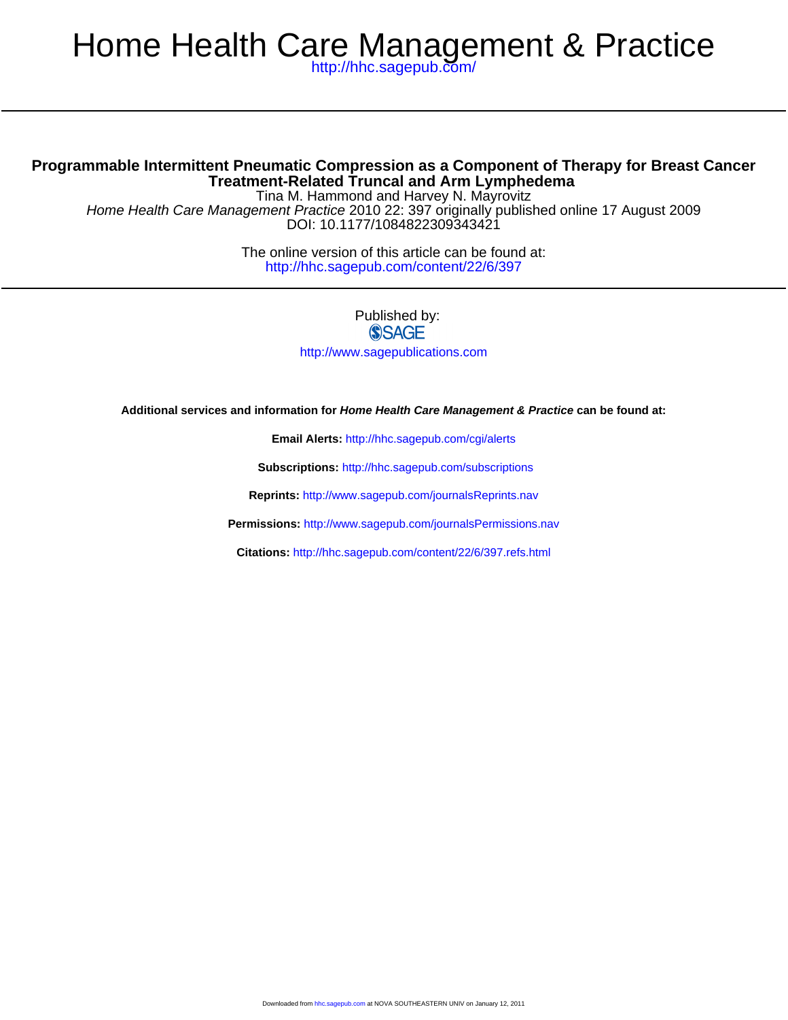# Home Health Care Management & Practice

<http://hhc.sagepub.com/>

# **Treatment-Related Truncal and Arm Lymphedema Programmable Intermittent Pneumatic Compression as a Component of Therapy for Breast Cancer**

DOI: 10.1177/1084822309343421 Home Health Care Management Practice 2010 22: 397 originally published online 17 August 2009 Tina M. Hammond and Harvey N. Mayrovitz

> <http://hhc.sagepub.com/content/22/6/397> The online version of this article can be found at:

> > Published by: **SSAGE** <http://www.sagepublications.com>

**Additional services and information for Home Health Care Management & Practice can be found at:**

**Email Alerts:** <http://hhc.sagepub.com/cgi/alerts>

**Subscriptions:** <http://hhc.sagepub.com/subscriptions>

**Reprints:** <http://www.sagepub.com/journalsReprints.nav>

**Permissions:** <http://www.sagepub.com/journalsPermissions.nav>

**Citations:** <http://hhc.sagepub.com/content/22/6/397.refs.html>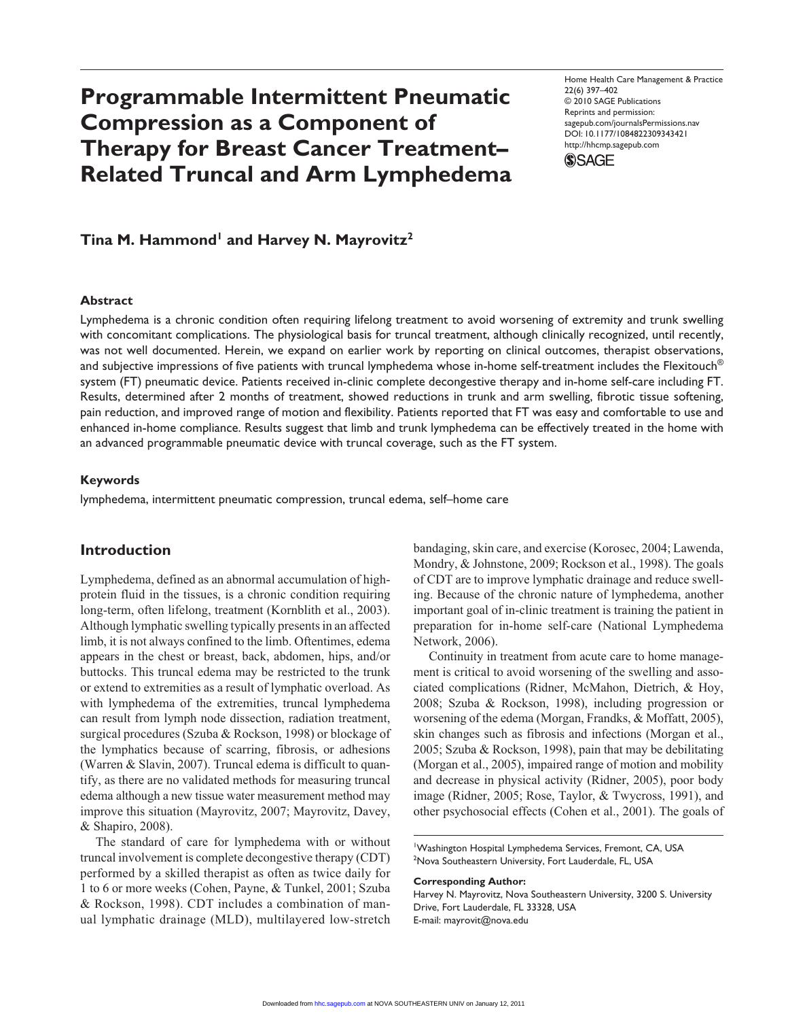# **Programmable Intermittent Pneumatic Compression as a Component of Therapy for Breast Cancer Treatment– Related Truncal and Arm Lymphedema**

Home Health Care Management & Practice 22(6) 397–402 © 2010 SAGE Publications Reprints and permission: sagepub.com/journalsPermissions.nav DOI: 10.1177/1084822309343421 http://hhcmp.sagepub.com



**Tina M. Hammond<sup>1</sup> and Harvey N. Mayrovitz<sup>2</sup>** 

#### **Abstract**

Lymphedema is a chronic condition often requiring lifelong treatment to avoid worsening of extremity and trunk swelling with concomitant complications. The physiological basis for truncal treatment, although clinically recognized, until recently, was not well documented. Herein, we expand on earlier work by reporting on clinical outcomes, therapist observations, and subjective impressions of five patients with truncal lymphedema whose in-home self-treatment includes the Flexitouch<sup>®</sup> system (FT) pneumatic device. Patients received in-clinic complete decongestive therapy and in-home self-care including FT. Results, determined after 2 months of treatment, showed reductions in trunk and arm swelling, fibrotic tissue softening, pain reduction, and improved range of motion and flexibility. Patients reported that FT was easy and comfortable to use and enhanced in-home compliance. Results suggest that limb and trunk lymphedema can be effectively treated in the home with an advanced programmable pneumatic device with truncal coverage, such as the FT system.

#### **Keywords**

lymphedema, intermittent pneumatic compression, truncal edema, self–home care

## **Introduction**

Lymphedema, defined as an abnormal accumulation of highprotein fluid in the tissues, is a chronic condition requiring long-term, often lifelong, treatment (Kornblith et al., 2003). Although lymphatic swelling typically presents in an affected limb, it is not always confined to the limb. Oftentimes, edema appears in the chest or breast, back, abdomen, hips, and/or buttocks. This truncal edema may be restricted to the trunk or extend to extremities as a result of lymphatic overload. As with lymphedema of the extremities, truncal lymphedema can result from lymph node dissection, radiation treatment, surgical procedures (Szuba & Rockson, 1998) or blockage of the lymphatics because of scarring, fibrosis, or adhesions (Warren & Slavin, 2007). Truncal edema is difficult to quantify, as there are no validated methods for measuring truncal edema although a new tissue water measurement method may improve this situation (Mayrovitz, 2007; Mayrovitz, Davey, & Shapiro, 2008).

The standard of care for lymphedema with or without truncal involvement is complete decongestive therapy (CDT) performed by a skilled therapist as often as twice daily for 1 to 6 or more weeks (Cohen, Payne, & Tunkel, 2001; Szuba & Rockson, 1998). CDT includes a combination of manual lymphatic drainage (MLD), multilayered low-stretch bandaging, skin care, and exercise (Korosec, 2004; Lawenda, Mondry, & Johnstone, 2009; Rockson et al., 1998). The goals of CDT are to improve lymphatic drainage and reduce swelling. Because of the chronic nature of lymphedema, another important goal of in-clinic treatment is training the patient in preparation for in-home self-care (National Lymphedema Network, 2006).

Continuity in treatment from acute care to home management is critical to avoid worsening of the swelling and associated complications (Ridner, McMahon, Dietrich, & Hoy, 2008; Szuba & Rockson, 1998), including progression or worsening of the edema (Morgan, Frandks, & Moffatt, 2005), skin changes such as fibrosis and infections (Morgan et al., 2005; Szuba & Rockson, 1998), pain that may be debilitating (Morgan et al., 2005), impaired range of motion and mobility and decrease in physical activity (Ridner, 2005), poor body image (Ridner, 2005; Rose, Taylor, & Twycross, 1991), and other psychosocial effects (Cohen et al., 2001). The goals of

1 Washington Hospital Lymphedema Services, Fremont, CA, USA 2 Nova Southeastern University, Fort Lauderdale, FL, USA

#### **Corresponding Author:**

Harvey N. Mayrovitz, Nova Southeastern University, 3200 S. University Drive, Fort Lauderdale, FL 33328, USA E-mail: mayrovit@nova.edu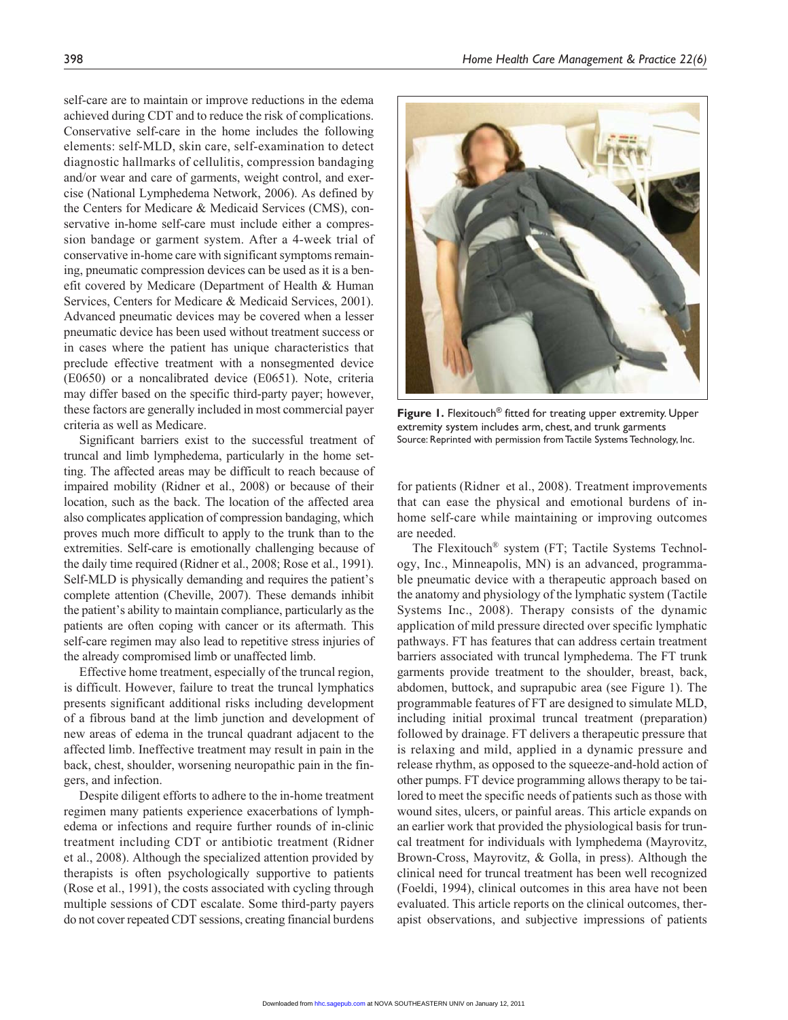self-care are to maintain or improve reductions in the edema achieved during CDT and to reduce the risk of complications. Conservative self-care in the home includes the following elements: self-MLD, skin care, self-examination to detect diagnostic hallmarks of cellulitis, compression bandaging and/or wear and care of garments, weight control, and exercise (National Lymphedema Network, 2006). As defined by the Centers for Medicare & Medicaid Services (CMS), conservative in-home self-care must include either a compression bandage or garment system. After a 4-week trial of conservative in-home care with significant symptoms remaining, pneumatic compression devices can be used as it is a benefit covered by Medicare (Department of Health & Human Services, Centers for Medicare & Medicaid Services, 2001). Advanced pneumatic devices may be covered when a lesser pneumatic device has been used without treatment success or in cases where the patient has unique characteristics that preclude effective treatment with a nonsegmented device (E0650) or a noncalibrated device (E0651). Note, criteria may differ based on the specific third-party payer; however, these factors are generally included in most commercial payer criteria as well as Medicare.

Significant barriers exist to the successful treatment of truncal and limb lymphedema, particularly in the home setting. The affected areas may be difficult to reach because of impaired mobility (Ridner et al., 2008) or because of their location, such as the back. The location of the affected area also complicates application of compression bandaging, which proves much more difficult to apply to the trunk than to the extremities. Self-care is emotionally challenging because of the daily time required (Ridner et al., 2008; Rose et al., 1991). Self-MLD is physically demanding and requires the patient's complete attention (Cheville, 2007). These demands inhibit the patient's ability to maintain compliance, particularly as the patients are often coping with cancer or its aftermath. This self-care regimen may also lead to repetitive stress injuries of the already compromised limb or unaffected limb.

Effective home treatment, especially of the truncal region, is difficult. However, failure to treat the truncal lymphatics presents significant additional risks including development of a fibrous band at the limb junction and development of new areas of edema in the truncal quadrant adjacent to the affected limb. Ineffective treatment may result in pain in the back, chest, shoulder, worsening neuropathic pain in the fingers, and infection.

Despite diligent efforts to adhere to the in-home treatment regimen many patients experience exacerbations of lymphedema or infections and require further rounds of in-clinic treatment including CDT or antibiotic treatment (Ridner et al., 2008). Although the specialized attention provided by therapists is often psychologically supportive to patients (Rose et al., 1991), the costs associated with cycling through multiple sessions of CDT escalate. Some third-party payers do not cover repeated CDT sessions, creating financial burdens



**Figure 1.** Flexitouch® fitted for treating upper extremity. Upper extremity system includes arm, chest, and trunk garments Source: Reprinted with permission from Tactile Systems Technology, Inc.

for patients (Ridner et al., 2008). Treatment improvements that can ease the physical and emotional burdens of inhome self-care while maintaining or improving outcomes are needed.

The Flexitouch® system (FT; Tactile Systems Technology, Inc., Minneapolis, MN) is an advanced, programmable pneumatic device with a therapeutic approach based on the anatomy and physiology of the lymphatic system (Tactile Systems Inc., 2008). Therapy consists of the dynamic application of mild pressure directed over specific lymphatic pathways. FT has features that can address certain treatment barriers associated with truncal lymphedema. The FT trunk garments provide treatment to the shoulder, breast, back, abdomen, buttock, and suprapubic area (see Figure 1). The programmable features of FT are designed to simulate MLD, including initial proximal truncal treatment (preparation) followed by drainage. FT delivers a therapeutic pressure that is relaxing and mild, applied in a dynamic pressure and release rhythm, as opposed to the squeeze-and-hold action of other pumps. FT device programming allows therapy to be tailored to meet the specific needs of patients such as those with wound sites, ulcers, or painful areas. This article expands on an earlier work that provided the physiological basis for truncal treatment for individuals with lymphedema (Mayrovitz, Brown-Cross, Mayrovitz, & Golla, in press). Although the clinical need for truncal treatment has been well recognized (Foeldi, 1994), clinical outcomes in this area have not been evaluated. This article reports on the clinical outcomes, therapist observations, and subjective impressions of patients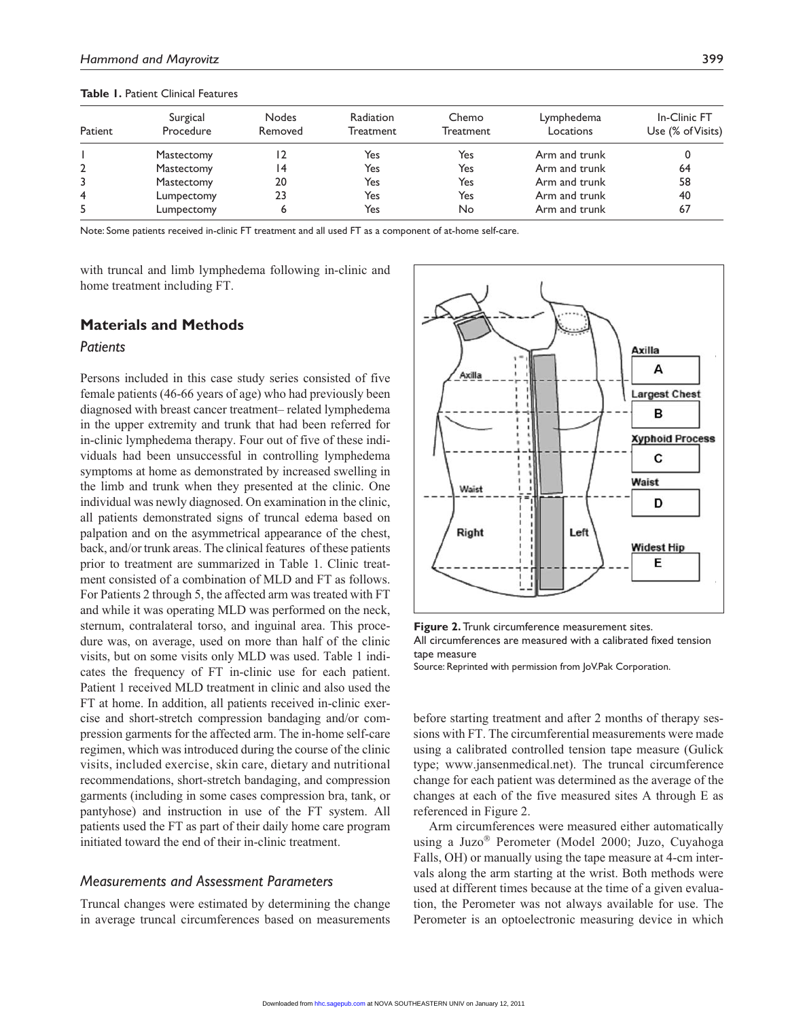| Patient | Surgical<br>Procedure | <b>Nodes</b><br>Removed | Radiation<br>Treatment | Chemo<br>Treatment | Lymphedema<br>Locations | In-Clinic FT<br>Use (% of Visits) |
|---------|-----------------------|-------------------------|------------------------|--------------------|-------------------------|-----------------------------------|
|         | <b>Mastectomy</b>     |                         | Yes                    | Yes                | Arm and trunk           |                                   |
|         | Mastectomy            | 14                      | Yes                    | Yes                | Arm and trunk           | 64                                |
|         | Mastectomy            | 20                      | Yes                    | Yes                | Arm and trunk           | 58                                |
| 4       | Lumpectomy            | 23                      | Yes                    | Yes                | Arm and trunk           | 40                                |
|         | Lumpectomy            |                         | Yes                    | No                 | Arm and trunk           | 67                                |

**Table 1.** Patient Clinical Features

Note: Some patients received in-clinic FT treatment and all used FT as a component of at-home self-care.

with truncal and limb lymphedema following in-clinic and home treatment including FT.

# **Materials and Methods**

# *Patients*

Persons included in this case study series consisted of five female patients (46-66 years of age) who had previously been diagnosed with breast cancer treatment– related lymphedema in the upper extremity and trunk that had been referred for in-clinic lymphedema therapy. Four out of five of these individuals had been unsuccessful in controlling lymphedema symptoms at home as demonstrated by increased swelling in the limb and trunk when they presented at the clinic. One individual was newly diagnosed. On examination in the clinic, all patients demonstrated signs of truncal edema based on palpation and on the asymmetrical appearance of the chest, back, and/or trunk areas. The clinical features of these patients prior to treatment are summarized in Table 1. Clinic treatment consisted of a combination of MLD and FT as follows. For Patients 2 through 5, the affected arm was treated with FT and while it was operating MLD was performed on the neck, sternum, contralateral torso, and inguinal area. This procedure was, on average, used on more than half of the clinic visits, but on some visits only MLD was used. Table 1 indicates the frequency of FT in-clinic use for each patient. Patient 1 received MLD treatment in clinic and also used the FT at home. In addition, all patients received in-clinic exercise and short-stretch compression bandaging and/or compression garments for the affected arm. The in-home self-care regimen, which was introduced during the course of the clinic visits, included exercise, skin care, dietary and nutritional recommendations, short-stretch bandaging, and compression garments (including in some cases compression bra, tank, or pantyhose) and instruction in use of the FT system. All patients used the FT as part of their daily home care program initiated toward the end of their in-clinic treatment.

## *Measurements and Assessment Parameters*

Truncal changes were estimated by determining the change in average truncal circumferences based on measurements



**Figure 2.** Trunk circumference measurement sites. All circumferences are measured with a calibrated fixed tension tape measure

Source: Reprinted with permission from JoV.Pak Corporation.

before starting treatment and after 2 months of therapy sessions with FT. The circumferential measurements were made using a calibrated controlled tension tape measure (Gulick type; www.jansenmedical.net). The truncal circumference change for each patient was determined as the average of the changes at each of the five measured sites A through E as referenced in Figure 2.

Arm circumferences were measured either automatically using a Juzo<sup>®</sup> Perometer (Model 2000; Juzo, Cuyahoga Falls, OH) or manually using the tape measure at 4-cm intervals along the arm starting at the wrist. Both methods were used at different times because at the time of a given evaluation, the Perometer was not always available for use. The Perometer is an optoelectronic measuring device in which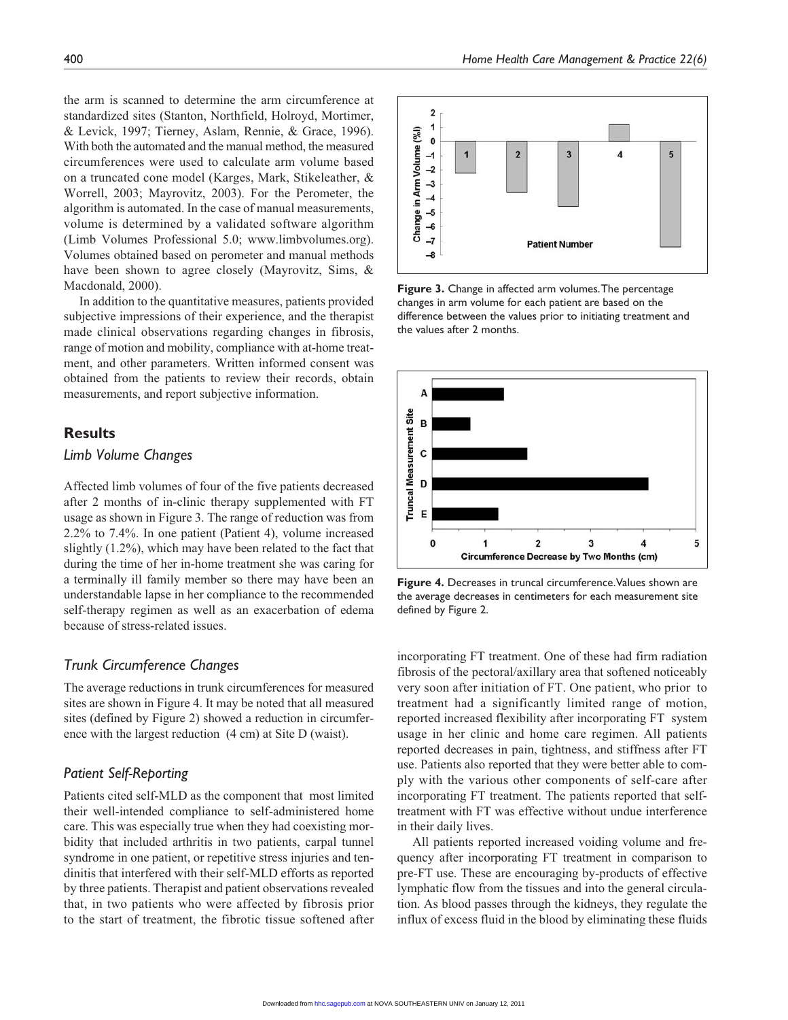the arm is scanned to determine the arm circumference at standardized sites (Stanton, Northfield, Holroyd, Mortimer, & Levick, 1997; Tierney, Aslam, Rennie, & Grace, 1996). With both the automated and the manual method, the measured circumferences were used to calculate arm volume based on a truncated cone model (Karges, Mark, Stikeleather, & Worrell, 2003; Mayrovitz, 2003). For the Perometer, the algorithm is automated. In the case of manual measurements, volume is determined by a validated software algorithm (Limb Volumes Professional 5.0; www.limbvolumes.org). Volumes obtained based on perometer and manual methods have been shown to agree closely (Mayrovitz, Sims, & Macdonald, 2000).

In addition to the quantitative measures, patients provided subjective impressions of their experience, and the therapist made clinical observations regarding changes in fibrosis, range of motion and mobility, compliance with at-home treatment, and other parameters. Written informed consent was obtained from the patients to review their records, obtain measurements, and report subjective information.

# **Results**

## *Limb Volume Changes*

Affected limb volumes of four of the five patients decreased after 2 months of in-clinic therapy supplemented with FT usage as shown in Figure 3. The range of reduction was from 2.2% to 7.4%. In one patient (Patient 4), volume increased slightly (1.2%), which may have been related to the fact that during the time of her in-home treatment she was caring for a terminally ill family member so there may have been an understandable lapse in her compliance to the recommended self-therapy regimen as well as an exacerbation of edema because of stress-related issues.

# *Trunk Circumference Changes*

The average reductions in trunk circumferences for measured sites are shown in Figure 4. It may be noted that all measured sites (defined by Figure 2) showed a reduction in circumference with the largest reduction (4 cm) at Site D (waist).

# *Patient Self-Reporting*

Patients cited self-MLD as the component that most limited their well-intended compliance to self-administered home care. This was especially true when they had coexisting morbidity that included arthritis in two patients, carpal tunnel syndrome in one patient, or repetitive stress injuries and tendinitis that interfered with their self-MLD efforts as reported by three patients. Therapist and patient observations revealed that, in two patients who were affected by fibrosis prior to the start of treatment, the fibrotic tissue softened after



**Figure 3.** Change in affected arm volumes. The percentage changes in arm volume for each patient are based on the difference between the values prior to initiating treatment and the values after 2 months.



**Figure 4.** Decreases in truncal circumference. Values shown are the average decreases in centimeters for each measurement site defined by Figure 2.

incorporating FT treatment. One of these had firm radiation fibrosis of the pectoral/axillary area that softened noticeably very soon after initiation of FT. One patient, who prior to treatment had a significantly limited range of motion, reported increased flexibility after incorporating FT system usage in her clinic and home care regimen. All patients reported decreases in pain, tightness, and stiffness after FT use. Patients also reported that they were better able to comply with the various other components of self-care after incorporating FT treatment. The patients reported that selftreatment with FT was effective without undue interference in their daily lives.

All patients reported increased voiding volume and frequency after incorporating FT treatment in comparison to pre-FT use. These are encouraging by-products of effective lymphatic flow from the tissues and into the general circulation. As blood passes through the kidneys, they regulate the influx of excess fluid in the blood by eliminating these fluids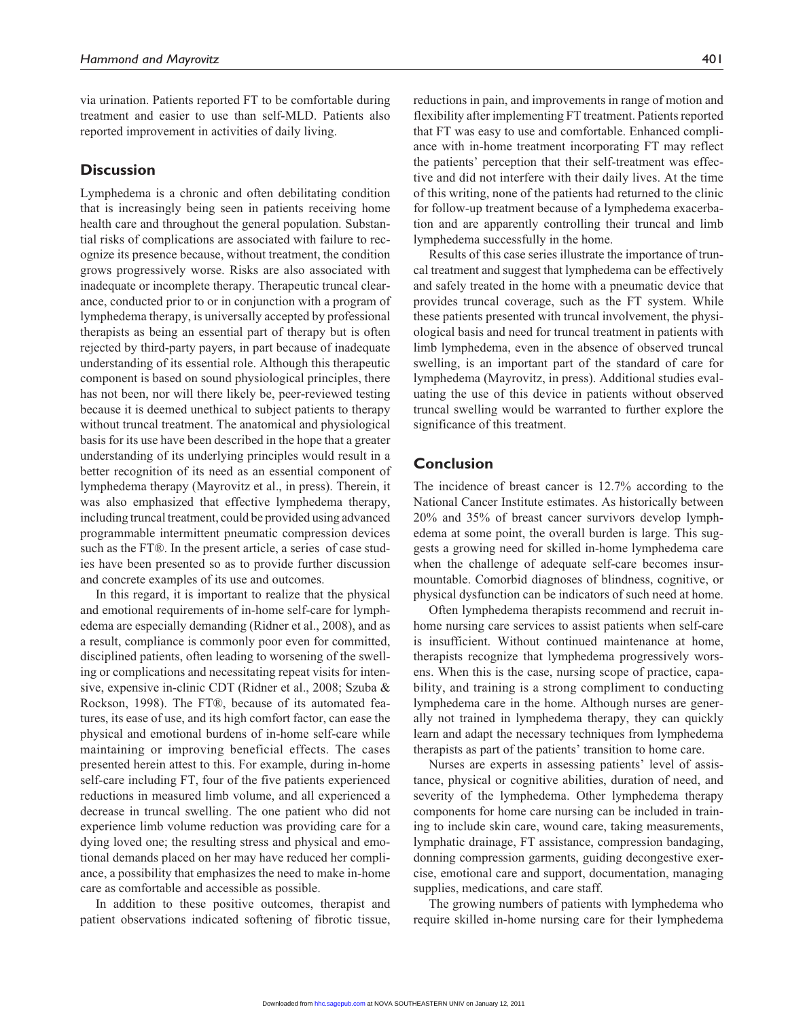via urination. Patients reported FT to be comfortable during treatment and easier to use than self-MLD. Patients also reported improvement in activities of daily living.

# **Discussion**

Lymphedema is a chronic and often debilitating condition that is increasingly being seen in patients receiving home health care and throughout the general population. Substantial risks of complications are associated with failure to recognize its presence because, without treatment, the condition grows progressively worse. Risks are also associated with inadequate or incomplete therapy. Therapeutic truncal clearance, conducted prior to or in conjunction with a program of lymphedema therapy, is universally accepted by professional therapists as being an essential part of therapy but is often rejected by third-party payers, in part because of inadequate understanding of its essential role. Although this therapeutic component is based on sound physiological principles, there has not been, nor will there likely be, peer-reviewed testing because it is deemed unethical to subject patients to therapy without truncal treatment. The anatomical and physiological basis for its use have been described in the hope that a greater understanding of its underlying principles would result in a better recognition of its need as an essential component of lymphedema therapy (Mayrovitz et al., in press). Therein, it was also emphasized that effective lymphedema therapy, including truncal treatment, could be provided using advanced programmable intermittent pneumatic compression devices such as the FT®. In the present article, a series of case studies have been presented so as to provide further discussion and concrete examples of its use and outcomes.

In this regard, it is important to realize that the physical and emotional requirements of in-home self-care for lymphedema are especially demanding (Ridner et al., 2008), and as a result, compliance is commonly poor even for committed, disciplined patients, often leading to worsening of the swelling or complications and necessitating repeat visits for intensive, expensive in-clinic CDT (Ridner et al., 2008; Szuba & Rockson, 1998). The FT®, because of its automated features, its ease of use, and its high comfort factor, can ease the physical and emotional burdens of in-home self-care while maintaining or improving beneficial effects. The cases presented herein attest to this. For example, during in-home self-care including FT, four of the five patients experienced reductions in measured limb volume, and all experienced a decrease in truncal swelling. The one patient who did not experience limb volume reduction was providing care for a dying loved one; the resulting stress and physical and emotional demands placed on her may have reduced her compliance, a possibility that emphasizes the need to make in-home care as comfortable and accessible as possible.

In addition to these positive outcomes, therapist and patient observations indicated softening of fibrotic tissue, reductions in pain, and improvements in range of motion and flexibility after implementing FT treatment. Patients reported that FT was easy to use and comfortable. Enhanced compliance with in-home treatment incorporating FT may reflect the patients' perception that their self-treatment was effective and did not interfere with their daily lives. At the time of this writing, none of the patients had returned to the clinic for follow-up treatment because of a lymphedema exacerbation and are apparently controlling their truncal and limb lymphedema successfully in the home.

Results of this case series illustrate the importance of truncal treatment and suggest that lymphedema can be effectively and safely treated in the home with a pneumatic device that provides truncal coverage, such as the FT system. While these patients presented with truncal involvement, the physiological basis and need for truncal treatment in patients with limb lymphedema, even in the absence of observed truncal swelling, is an important part of the standard of care for lymphedema (Mayrovitz, in press). Additional studies evaluating the use of this device in patients without observed truncal swelling would be warranted to further explore the significance of this treatment.

# **Conclusion**

The incidence of breast cancer is 12.7% according to the National Cancer Institute estimates. As historically between 20% and 35% of breast cancer survivors develop lymphedema at some point, the overall burden is large. This suggests a growing need for skilled in-home lymphedema care when the challenge of adequate self-care becomes insurmountable. Comorbid diagnoses of blindness, cognitive, or physical dysfunction can be indicators of such need at home.

Often lymphedema therapists recommend and recruit inhome nursing care services to assist patients when self-care is insufficient. Without continued maintenance at home, therapists recognize that lymphedema progressively worsens. When this is the case, nursing scope of practice, capability, and training is a strong compliment to conducting lymphedema care in the home. Although nurses are generally not trained in lymphedema therapy, they can quickly learn and adapt the necessary techniques from lymphedema therapists as part of the patients' transition to home care.

Nurses are experts in assessing patients' level of assistance, physical or cognitive abilities, duration of need, and severity of the lymphedema. Other lymphedema therapy components for home care nursing can be included in training to include skin care, wound care, taking measurements, lymphatic drainage, FT assistance, compression bandaging, donning compression garments, guiding decongestive exercise, emotional care and support, documentation, managing supplies, medications, and care staff.

The growing numbers of patients with lymphedema who require skilled in-home nursing care for their lymphedema